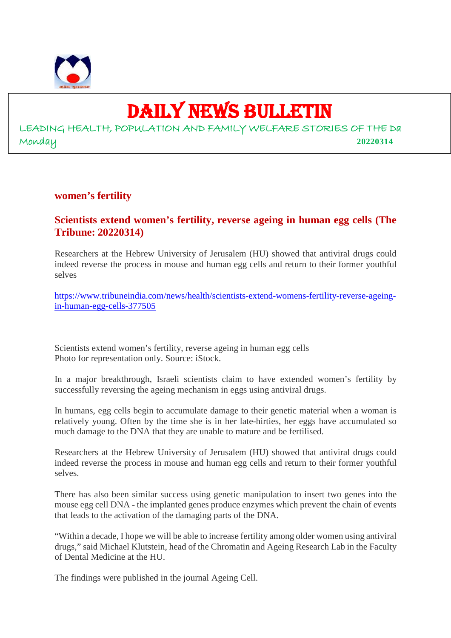

# DAILY NEWS BULLETIN

LEADING HEALTH, POPULATION AND FAMILY WELFARE STORIES OF THE Da Monday **20220314**

## **women's fertility**

# **Scientists extend women's fertility, reverse ageing in human egg cells (The Tribune: 20220314)**

Researchers at the Hebrew University of Jerusalem (HU) showed that antiviral drugs could indeed reverse the process in mouse and human egg cells and return to their former youthful selves

https://www.tribuneindia.com/news/health/scientists-extend-womens-fertility-reverse-ageingin-human-egg-cells-377505

Scientists extend women's fertility, reverse ageing in human egg cells Photo for representation only. Source: iStock.

In a major breakthrough, Israeli scientists claim to have extended women's fertility by successfully reversing the ageing mechanism in eggs using antiviral drugs.

In humans, egg cells begin to accumulate damage to their genetic material when a woman is relatively young. Often by the time she is in her late-hirties, her eggs have accumulated so much damage to the DNA that they are unable to mature and be fertilised.

Researchers at the Hebrew University of Jerusalem (HU) showed that antiviral drugs could indeed reverse the process in mouse and human egg cells and return to their former youthful selves.

There has also been similar success using genetic manipulation to insert two genes into the mouse egg cell DNA - the implanted genes produce enzymes which prevent the chain of events that leads to the activation of the damaging parts of the DNA.

"Within a decade, I hope we will be able to increase fertility among older women using antiviral drugs," said Michael Klutstein, head of the Chromatin and Ageing Research Lab in the Faculty of Dental Medicine at the HU.

The findings were published in the journal Ageing Cell.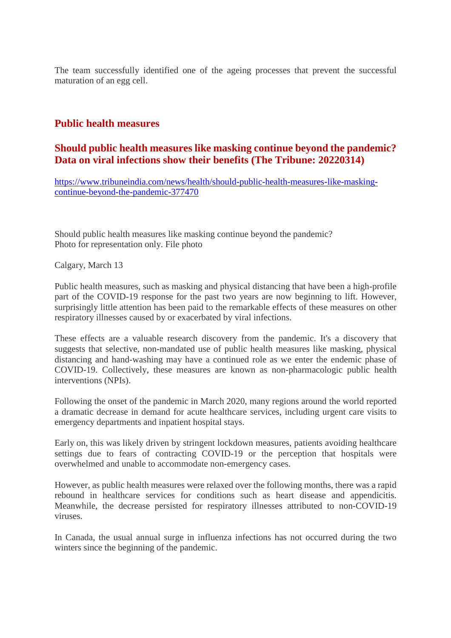The team successfully identified one of the ageing processes that prevent the successful maturation of an egg cell.

# **Public health measures**

# **Should public health measures like masking continue beyond the pandemic? Data on viral infections show their benefits (The Tribune: 20220314)**

https://www.tribuneindia.com/news/health/should-public-health-measures-like-maskingcontinue-beyond-the-pandemic-377470

Should public health measures like masking continue beyond the pandemic? Photo for representation only. File photo

Calgary, March 13

Public health measures, such as masking and physical distancing that have been a high-profile part of the COVID-19 response for the past two years are now beginning to lift. However, surprisingly little attention has been paid to the remarkable effects of these measures on other respiratory illnesses caused by or exacerbated by viral infections.

These effects are a valuable research discovery from the pandemic. It's a discovery that suggests that selective, non-mandated use of public health measures like masking, physical distancing and hand-washing may have a continued role as we enter the endemic phase of COVID-19. Collectively, these measures are known as non-pharmacologic public health interventions (NPIs).

Following the onset of the pandemic in March 2020, many regions around the world reported a dramatic decrease in demand for acute healthcare services, including urgent care visits to emergency departments and inpatient hospital stays.

Early on, this was likely driven by stringent lockdown measures, patients avoiding healthcare settings due to fears of contracting COVID-19 or the perception that hospitals were overwhelmed and unable to accommodate non-emergency cases.

However, as public health measures were relaxed over the following months, there was a rapid rebound in healthcare services for conditions such as heart disease and appendicitis. Meanwhile, the decrease persisted for respiratory illnesses attributed to non-COVID-19 viruses.

In Canada, the usual annual surge in influenza infections has not occurred during the two winters since the beginning of the pandemic.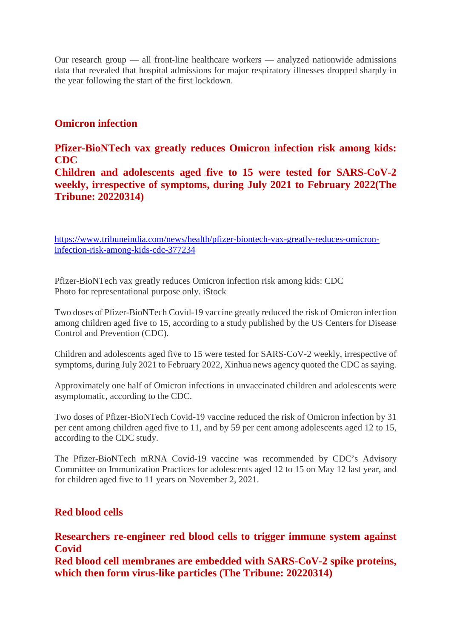Our research group — all front-line healthcare workers — analyzed nationwide admissions data that revealed that hospital admissions for major respiratory illnesses dropped sharply in the year following the start of the first lockdown.

# **Omicron infection**

# **Pfizer-BioNTech vax greatly reduces Omicron infection risk among kids: CDC**

**Children and adolescents aged five to 15 were tested for SARS-CoV-2 weekly, irrespective of symptoms, during July 2021 to February 2022(The Tribune: 20220314)**

https://www.tribuneindia.com/news/health/pfizer-biontech-vax-greatly-reduces-omicroninfection-risk-among-kids-cdc-377234

Pfizer-BioNTech vax greatly reduces Omicron infection risk among kids: CDC Photo for representational purpose only. iStock

Two doses of Pfizer-BioNTech Covid-19 vaccine greatly reduced the risk of Omicron infection among children aged five to 15, according to a study published by the US Centers for Disease Control and Prevention (CDC).

Children and adolescents aged five to 15 were tested for SARS-CoV-2 weekly, irrespective of symptoms, during July 2021 to February 2022, Xinhua news agency quoted the CDC as saying.

Approximately one half of Omicron infections in unvaccinated children and adolescents were asymptomatic, according to the CDC.

Two doses of Pfizer-BioNTech Covid-19 vaccine reduced the risk of Omicron infection by 31 per cent among children aged five to 11, and by 59 per cent among adolescents aged 12 to 15, according to the CDC study.

The Pfizer-BioNTech mRNA Covid-19 vaccine was recommended by CDC's Advisory Committee on Immunization Practices for adolescents aged 12 to 15 on May 12 last year, and for children aged five to 11 years on November 2, 2021.

# **Red blood cells**

**Researchers re-engineer red blood cells to trigger immune system against Covid**

**Red blood cell membranes are embedded with SARS-CoV-2 spike proteins, which then form virus-like particles (The Tribune: 20220314)**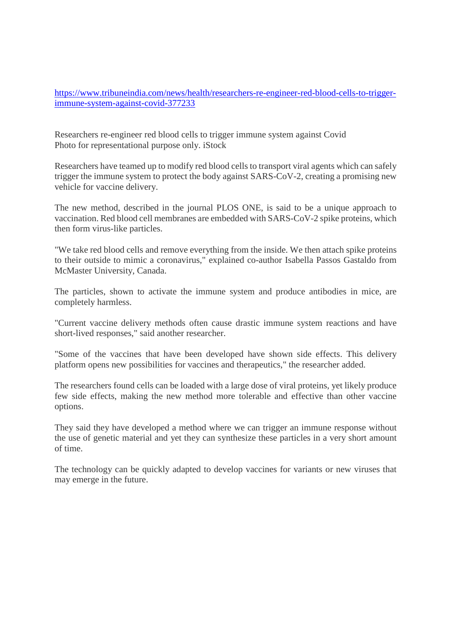https://www.tribuneindia.com/news/health/researchers-re-engineer-red-blood-cells-to-triggerimmune-system-against-covid-377233

Researchers re-engineer red blood cells to trigger immune system against Covid Photo for representational purpose only. iStock

Researchers have teamed up to modify red blood cells to transport viral agents which can safely trigger the immune system to protect the body against SARS-CoV-2, creating a promising new vehicle for vaccine delivery.

The new method, described in the journal PLOS ONE, is said to be a unique approach to vaccination. Red blood cell membranes are embedded with SARS-CoV-2 spike proteins, which then form virus-like particles.

"We take red blood cells and remove everything from the inside. We then attach spike proteins to their outside to mimic a coronavirus," explained co-author Isabella Passos Gastaldo from McMaster University, Canada.

The particles, shown to activate the immune system and produce antibodies in mice, are completely harmless.

"Current vaccine delivery methods often cause drastic immune system reactions and have short-lived responses," said another researcher.

"Some of the vaccines that have been developed have shown side effects. This delivery platform opens new possibilities for vaccines and therapeutics," the researcher added.

The researchers found cells can be loaded with a large dose of viral proteins, yet likely produce few side effects, making the new method more tolerable and effective than other vaccine options.

They said they have developed a method where we can trigger an immune response without the use of genetic material and yet they can synthesize these particles in a very short amount of time.

The technology can be quickly adapted to develop vaccines for variants or new viruses that may emerge in the future.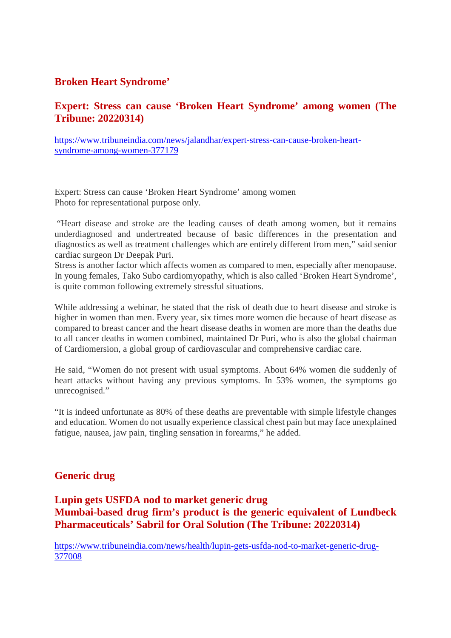# **Broken Heart Syndrome'**

# **Expert: Stress can cause 'Broken Heart Syndrome' among women (The Tribune: 20220314)**

https://www.tribuneindia.com/news/jalandhar/expert-stress-can-cause-broken-heartsyndrome-among-women-377179

Expert: Stress can cause 'Broken Heart Syndrome' among women Photo for representational purpose only.

"Heart disease and stroke are the leading causes of death among women, but it remains underdiagnosed and undertreated because of basic differences in the presentation and diagnostics as well as treatment challenges which are entirely different from men," said senior cardiac surgeon Dr Deepak Puri.

Stress is another factor which affects women as compared to men, especially after menopause. In young females, Tako Subo cardiomyopathy, which is also called 'Broken Heart Syndrome', is quite common following extremely stressful situations.

While addressing a webinar, he stated that the risk of death due to heart disease and stroke is higher in women than men. Every year, six times more women die because of heart disease as compared to breast cancer and the heart disease deaths in women are more than the deaths due to all cancer deaths in women combined, maintained Dr Puri, who is also the global chairman of Cardiomersion, a global group of cardiovascular and comprehensive cardiac care.

He said, "Women do not present with usual symptoms. About 64% women die suddenly of heart attacks without having any previous symptoms. In 53% women, the symptoms go unrecognised."

"It is indeed unfortunate as 80% of these deaths are preventable with simple lifestyle changes and education. Women do not usually experience classical chest pain but may face unexplained fatigue, nausea, jaw pain, tingling sensation in forearms," he added.

# **Generic drug**

**Lupin gets USFDA nod to market generic drug Mumbai-based drug firm's product is the generic equivalent of Lundbeck Pharmaceuticals' Sabril for Oral Solution (The Tribune: 20220314)**

https://www.tribuneindia.com/news/health/lupin-gets-usfda-nod-to-market-generic-drug-377008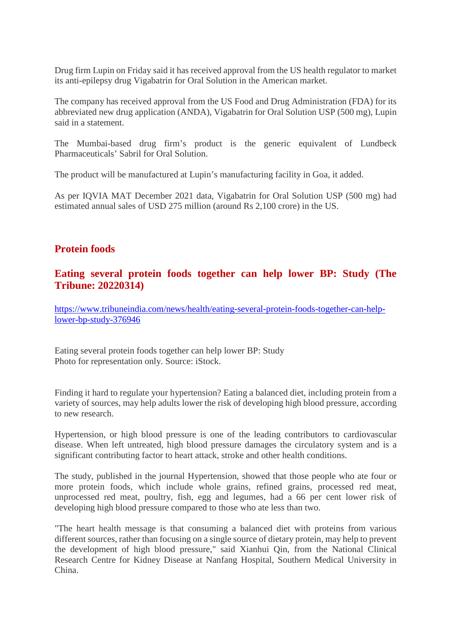Drug firm Lupin on Friday said it has received approval from the US health regulator to market its anti-epilepsy drug Vigabatrin for Oral Solution in the American market.

The company has received approval from the US Food and Drug Administration (FDA) for its abbreviated new drug application (ANDA), Vigabatrin for Oral Solution USP (500 mg), Lupin said in a statement.

The Mumbai-based drug firm's product is the generic equivalent of Lundbeck Pharmaceuticals' Sabril for Oral Solution.

The product will be manufactured at Lupin's manufacturing facility in Goa, it added.

As per IQVIA MAT December 2021 data, Vigabatrin for Oral Solution USP (500 mg) had estimated annual sales of USD 275 million (around Rs 2,100 crore) in the US.

# **Protein foods**

# **Eating several protein foods together can help lower BP: Study (The Tribune: 20220314)**

https://www.tribuneindia.com/news/health/eating-several-protein-foods-together-can-helplower-bp-study-376946

Eating several protein foods together can help lower BP: Study Photo for representation only. Source: iStock.

Finding it hard to regulate your hypertension? Eating a balanced diet, including protein from a variety of sources, may help adults lower the risk of developing high blood pressure, according to new research.

Hypertension, or high blood pressure is one of the leading contributors to cardiovascular disease. When left untreated, high blood pressure damages the circulatory system and is a significant contributing factor to heart attack, stroke and other health conditions.

The study, published in the journal Hypertension, showed that those people who ate four or more protein foods, which include whole grains, refined grains, processed red meat, unprocessed red meat, poultry, fish, egg and legumes, had a 66 per cent lower risk of developing high blood pressure compared to those who ate less than two.

"The heart health message is that consuming a balanced diet with proteins from various different sources, rather than focusing on a single source of dietary protein, may help to prevent the development of high blood pressure," said Xianhui Qin, from the National Clinical Research Centre for Kidney Disease at Nanfang Hospital, Southern Medical University in China.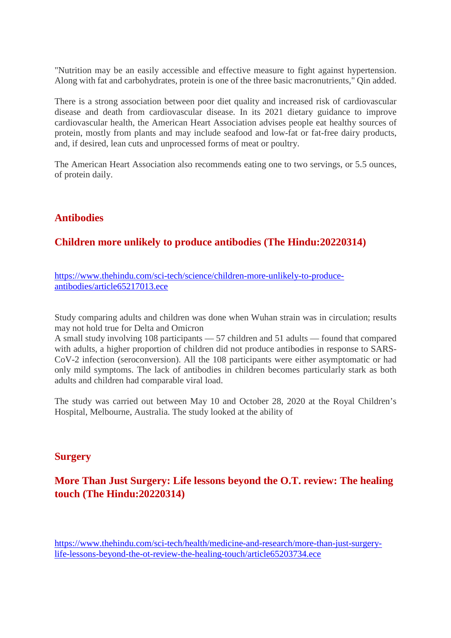"Nutrition may be an easily accessible and effective measure to fight against hypertension. Along with fat and carbohydrates, protein is one of the three basic macronutrients," Qin added.

There is a strong association between poor diet quality and increased risk of cardiovascular disease and death from cardiovascular disease. In its 2021 dietary guidance to improve cardiovascular health, the American Heart Association advises people eat healthy sources of protein, mostly from plants and may include seafood and low-fat or fat-free dairy products, and, if desired, lean cuts and unprocessed forms of meat or poultry.

The American Heart Association also recommends eating one to two servings, or 5.5 ounces, of protein daily.

# **Antibodies**

# **Children more unlikely to produce antibodies (The Hindu:20220314)**

https://www.thehindu.com/sci-tech/science/children-more-unlikely-to-produceantibodies/article65217013.ece

Study comparing adults and children was done when Wuhan strain was in circulation; results may not hold true for Delta and Omicron

A small study involving 108 participants — 57 children and 51 adults — found that compared with adults, a higher proportion of children did not produce antibodies in response to SARS-CoV-2 infection (seroconversion). All the 108 participants were either asymptomatic or had only mild symptoms. The lack of antibodies in children becomes particularly stark as both adults and children had comparable viral load.

The study was carried out between May 10 and October 28, 2020 at the Royal Children's Hospital, Melbourne, Australia. The study looked at the ability of

# **Surgery**

# **More Than Just Surgery: Life lessons beyond the O.T. review: The healing touch (The Hindu:20220314)**

https://www.thehindu.com/sci-tech/health/medicine-and-research/more-than-just-surgerylife-lessons-beyond-the-ot-review-the-healing-touch/article65203734.ece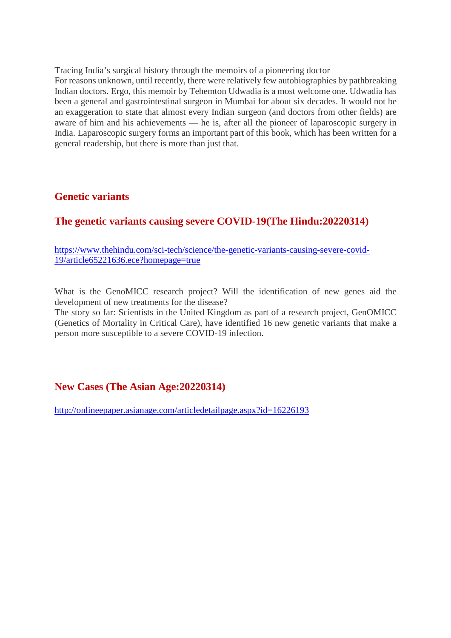Tracing India's surgical history through the memoirs of a pioneering doctor

For reasons unknown, until recently, there were relatively few autobiographies by pathbreaking Indian doctors. Ergo, this memoir by Tehemton Udwadia is a most welcome one. Udwadia has been a general and gastrointestinal surgeon in Mumbai for about six decades. It would not be an exaggeration to state that almost every Indian surgeon (and doctors from other fields) are aware of him and his achievements — he is, after all the pioneer of laparoscopic surgery in India. Laparoscopic surgery forms an important part of this book, which has been written for a general readership, but there is more than just that.

# **Genetic variants**

# **The genetic variants causing severe COVID-19(The Hindu:20220314)**

https://www.thehindu.com/sci-tech/science/the-genetic-variants-causing-severe-covid-19/article65221636.ece?homepage=true

What is the GenoMICC research project? Will the identification of new genes aid the development of new treatments for the disease?

The story so far: Scientists in the United Kingdom as part of a research project, GenOMICC (Genetics of Mortality in Critical Care), have identified 16 new genetic variants that make a person more susceptible to a severe COVID-19 infection.

# **New Cases (The Asian Age:20220314)**

http://onlineepaper.asianage.com/articledetailpage.aspx?id=16226193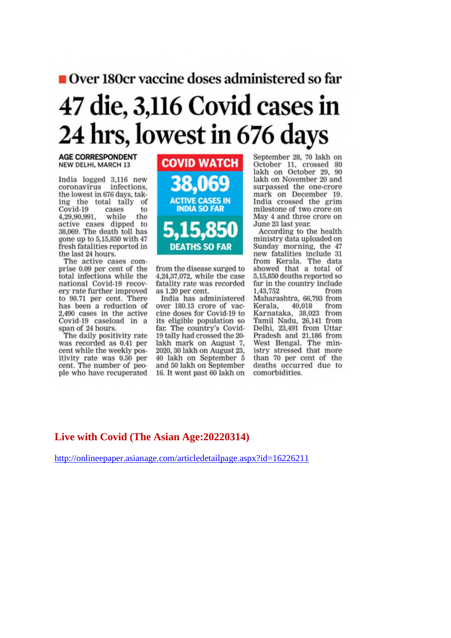# Over 180cr vaccine doses administered so far 47 die, 3,116 Covid cases in 24 hrs, lowest in 676 days

#### **AGE CORRESPONDENT** NEW DELHI, MARCH 13

India logged 3,116 new coronavirus infections, the lowest in 676 days, taking the total tally of Covid-19 cases  $to$ 4.29.90.991. while the active cases dipped to 38,069. The death toll has gone up to 5,15,850 with 47 fresh fatalities reported in the last 24 hours.

The active cases comprise 0.09 per cent of the total infections while the national Covid-19 recovery rate further improved to 98.71 per cent. There has been a reduction of 2,490 cases in the active Covid-19 caseload in a span of 24 hours.

The daily positivity rate was recorded as 0.41 per cent while the weekly positivity rate was 0.50 per cent. The number of people who have recuperated



from the disease surged to 4,24,37,072, while the case fatality rate was recorded as 1.20 per cent.

India has administered over 180.13 crore of vaccine doses for Covid-19 to its eligible population so far. The country's Covid-19 tally had crossed the 20lakh mark on August 7, 2020, 30 lakh on August 23, 40 lakh on September 5 and 50 lakh on September 16. It went past 60 lakh on September 28, 70 lakh on October 11, crossed 80 lakh on October 29, 90 lakh on November 20 and surpassed the one-crore mark on December 19. India crossed the grim milestone of two crore on May 4 and three crore on June 23 last year.

According to the health ministry data uploaded on Sunday morning, the 47 new fatalities include 31 from Kerala. The data showed that a total of 5,15,850 deaths reported so far in the country include 1,43,752 from Maharashtra, 66,793 from Kerala, 40,018 from Karnataka, 38,023 from Tamil Nadu, 26,141 from Delhi, 23,491 from Uttar Pradesh and 21,186 from<br>West Bengal. The ministry stressed that more than 70 per cent of the deaths occurred due to comorbidities.

# Live with Covid (The Asian Age: 20220314)

http://onlineepaper.asianage.com/articledetailpage.aspx?id=16226211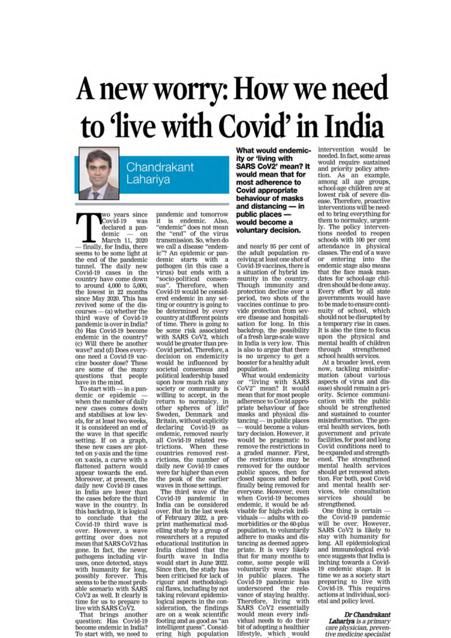# A new worry: How we need<br>to 'live with Covid' in India



wo years since Covid-19 was declared a pandemic on March 11, 2020 finally, for India, there seems to be some light at the end of the pandemic tunnel. The daily new Covid-19 cases in the country have come down to around  $4,000$  to  $5,000$ , the lowest in 22 months since May 2020. This has<br>revived some of the discourses - (a) whether the<br>third wave of Covid-19 pandemic is over in India? (b) Has Covid-19 become endemic in the country? (c) Will there be another wave? and (d) Does everyone need a Covid-19 vaccine booster dose? These are some of the many questions that people have in the mind.

To start with - in a pandemic or epidemic when the number of daily new cases comes down and stabilises at low levels, for at least two weeks, it is considered an end of the wave in that specific setting. If on a graph, these new cases are plotted on y-axis and the time on x-axis, a curve with a<br>flattened pattern would appear towards the end. Moreover, at present, the<br>daily new Covid-19 cases in India are lower than the cases before the third wave in the country. In this backdrop, it is logical to conclude that the<br>Covid-19 third wave is over. However, a wave<br>getting over does not<br>mean that SARS CoV2 has gone. In fact, the newer pathogens including viruses, once detected, stays with humanity for long, possibly forever. This seems to be the most probable scenario with SARS CoV2 as well. It clearly is time for us to prepare to<br>live with SARS CoV2.

That brings another<br>question: Has Covid-19 become endemic in India? To start with, we need to pandemic and tomorrow is endemic. Also, "endemic" does not mean<br>the "end" of the virus transmission. So, when do we call a disease "endemic"? An epidemic or pandemic starts with a<br>pathogen (in this case a virus) but ends with a "socio-political consensus". Therefore, when<br>Covid-19 would be considered endemic in any setting or country is going to<br>be determined by every country at different points of time. There is going to be some risk associated with SARS CoV2, which would be greater than pre-Covid period. Therefore, a decision on endemicity would be influenced by societal consensus and political leadership based upon how much risk any society or community is willing to accept, in the return to normalcy, in<br>other spheres of life? Sweden, Denmark and Britain, without explicitly declaring Covid-19 as endemic, removed nearly all Covid-19 related restrictions. When these<br>countries removed restrictions, the number of daily new Covid-19 cases were far higher than even the peak of the earlier waves in those settings.

The third wave of the Covid-19 pandemic in<br>India can be considered over. But in the last week of February 2022, a preprint mathematical modelling study by a group of researchers at a reputed educational institution in India claimed that the fourth wave in India would start in June 2022. Since then, the study has been criticised for lack of rigour and methodological flaws, including by not taking relevant epidemiological aspects in the consideration, the findings are on a weak scientific footing and as good as "an intelligent guess". Considering high population What would endemicity or 'living with SARS CoV2' mean? It would mean that for most adherence to **Covid appropriate** behaviour of masks and distancing - in public places would become a voluntary decision.

and nearly 95 per cent of the adult population receiving at least one shot of Covid-19 vaccines, there is a situation of hybrid immunity in the country. Though immunity and protection decline over a period, two shots of the vaccines continue to provide protection from severe disease and hospitaliere use for long. In this<br>backdrop, the possibility<br>of a fresh large-scale wave in India is very low. This is also to argue that there is no urgency to get a<br>booster for a healthy adult population.

What would endemicity or "living with SARS<br>CoV2" mean? It would mean that for most people adherence to Covid appropriate behaviour of face masks and physical distancing — in public places<br>— would become a voluntary decision. However, it would be pragmatic to remove the restrictions in a graded manner. First, the restrictions may be removed for the outdoor public spaces, then for closed spaces and before finally being removed for everyone. However, even when Covid-19 becomes endemic, it would be advisable for high-risk individuals - adults with comorbidities or the 60-plus population, to voluntarily adhere to masks and distancing as deemed appropriate. It is very likely<br>that for many months to come, some people will voluntarily wear masks in public places. The<br>Covid-19 pandemic has underscored the relevance of staying healthy. Therefore, living with<br>SARS CoV2 essentially would mean every individual needs to do their bit of adopting a healthier lifestyle, which would

intervention would be needed. In fact, some areas would require sustained and priority policy attention. As an example,<br>among all age groups,<br>school-age children are at lowest risk of severe disease. Therefore, proactive<br>interventions will be needed to bring everything for them to normalcy, urgently. The policy interventions needed to reopen schools with 100 per cent attendance in physical classes. The end of a wave entering into the or endemic stage also means that the face mask mandates for school-age children should be done away. Every effort by all state governments would have to be made to ensure continuity of school, which<br>should not be disrupted by a temporary rise in cases. It is also the time to focus upon the physical and<br>mental health of children through strengthened school health services.

At a broader level, even now, tackling misinformation (about various<br>aspects of virus and disease) should remain a priority. Science communication with the public<br>should be strengthened and sustained to counter misinformation. The general health services, both government and private facilities, for post and long Covid conditions need to be expanded and strengthened. The strengthened<br>mental health services should get renewed attention. For both, post Covid and mental health services, tele consultation services should be strengthened.

One thing is certain the Covid-19 pandemic<br>will be over. However, SARS CoV2 is likely to stay with humanity for long. All epidemiological and immunological evidence suggests that India is inching towards a Covid-19 endemic stage. It is time we as a society start preparing to live with<br>Covid-19. This requires actions at individual, societal and policy level.

#### Dr Chandrakant

Lahariya is a primary care physician, preventive medicine specialist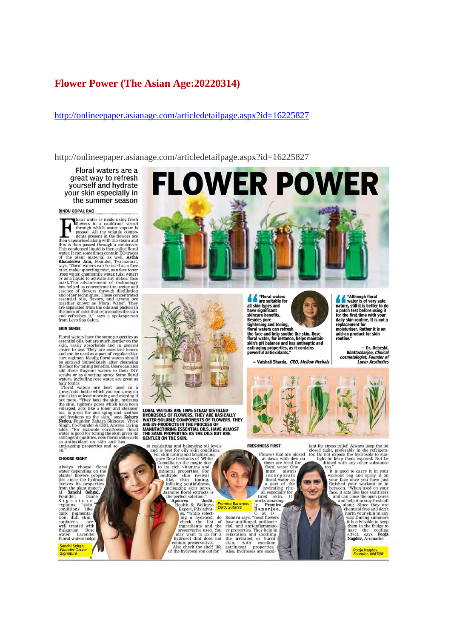## **Flower Power (The Asian Age:20220314)**

#### http://onlineepaper.asianage.com/articledetailpage.aspx?id=16225827

http://onlineepaper.asianage.com/articledetailpage.aspx?id=16225827

Floral waters are a great way to refresh yourself and hydrate your skin especially in the summer season

#### **BINDU GOPAL RAO**

**BINDU GOPAL RAO**<br> **EXAMPLE TRAO**<br> **EXAMPLE TRAO**<br> **EXAMPLE TRAO**<br> **EXAMPLE TRAO**<br> **EXAMPLE TRAO**<br> **EXAMPLE TRAO**<br> **EXAMPLE TRAO**<br> **EXAMPLE TRAOS**<br> **EXAMPLE TRAOS**<br> **EXAMPLE TRAOS**<br> **EXAMPLE TRAOS**<br> **EXAMPLE TRAOS**<br> **EXAM** 

#### **SKIN SENSE**

**SKIN SENSE**<br>Floral waters have the same properties as<br>essential oils, but are much gentler on the skin, easily absorbable and in general<br>easier to use. They are excellent toners<br>and can be used as a part of regular skin-

#### **CHOOSE RIGHT**

Always choose floral<br>water depending on the<br>plants/ flowers proper-<br>ties since the hydrosol derives its properties derives its properties<br>from the plant materi-<br>al. **Sanchi Sehgal**,<br>Founder, Ozone<br>explains, "skin conditions like conductions<br>
dark pigmenta-<br>
tion, dull skin,<br>
sunburns, are<br>
well treated with<br>
Bulgarian Rose<br>
water. Lavender<br>
Floral waters helps

Sanchi Sehgal<br>Founder Ozone<br>Signature



all skin types and<br>have significant<br>skincare benefits.

skincare henefits.<br>Besides pore<br>tightening and toning,<br>floral waters can refresh<br>the face and help soothe the skin. Rose<br>floral water, for instance, helps maintain<br>anti-aging properties, as it contains<br>powerful antioxidant

- Vaishali Sharda, CEO, Mellow Herbals



LORAL WATERS ARE 100% STEAM DISTILLED<br>HYDROSOLS OF FLOWERS. THEY ARE BASICALLY<br>WATER-SOLUBLE COMPONENTS OF FLOWERS. THEY<br>ARE BY-PRODUCTS IN THE PROCESS OF<br>MANUFACTURING ESSENTIAL OILS, HAVE ALMOST<br>THE SAME PROPERTIES AS TH GENTLER ON THE SKIN.

ENITER ON THE SKIN.<br>
in regulating and balancing oil levels<br>
and is best for oily skin condition.<br>
For skin toning and brightness,<br>
from the magic due<br>
to its rich vitamins and<br>
condita do the magic due<br>
to its rich vitami

contain preservatives.<br>Also check the shelf life<br>of the hydrosol you opt for."

**FRESHNESS FIRST** 

Flowers that are picked<br>at dawn with dew on<br>them are ideal for<br>floral water. One<br>must always must always<br>
incorporate<br>
floral water as<br>
a part of the<br>
nydrating ritu-<br>
ution shine<br>
works amazing.<br>
Reporting<br>
Reporting

# **Promira Banerjee,**<br>CMO, Sutatva

 $\begin{tabular}{l|c|c} \hline \textit{omira Banerjee, & \textit{lv}, \textit{Promirra} \\ \hline \textit{no}, \textit{Sutatva} & \textit{C} & \textit{N} & \textit{Promirra} \\ \hline \textit{Ba are rjee, \\ \textit{Bane rjee, \\ \textit{Nautiumgal, antibinmato}} \\ \hline \textit{rial, and anti-inflammato} & \textit{rial, and anti-inflammato} \\ \hline \textit{rip} & \textit{prepties.} \\ \hline \textit{rhe irritated or burnt} & \textit{skin, with excellent} \\ \textit{asitringent} & \$ 

 $\widehat{a}$ 

**PO 90** 

 $\scriptstyle\bigtriangleup$ 

lent for stress relief. Always keep the lid<br>closed tight, preferably in the refrigerator:<br>Do not expose the hydrosols to sum-<br>light or keep them exposed. Not be<br>diluted with any other substance

cost

- Dr. Deheshi , Dr. Debesn<br>Bhattacharjee, Clinical<br>smetologist, Founder of<br>Lueur Aesthetics

for keep them exposed. Not be<br>diluted with any other substance too."<br>It is good to carry it in your face one you have substance<br>weak it is good to carry it in your<br>more for the conce you have just on<br>the finished your work

Pooja Nagdev<mark>,</mark><br>Founder, INATUR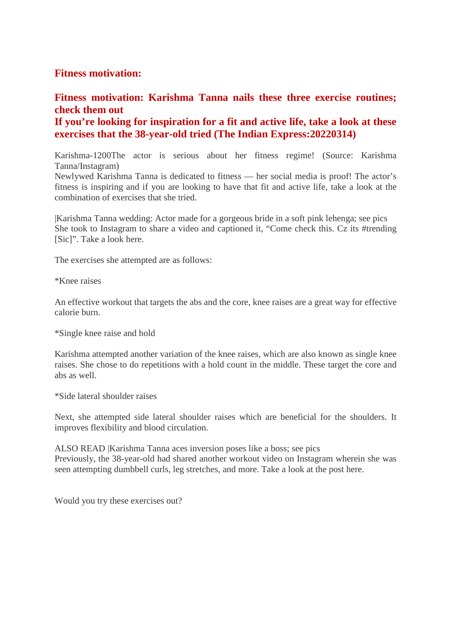# **Fitness motivation:**

# **Fitness motivation: Karishma Tanna nails these three exercise routines; check them out**

# **If you're looking for inspiration for a fit and active life, take a look at these exercises that the 38-year-old tried (The Indian Express:20220314)**

Karishma-1200The actor is serious about her fitness regime! (Source: Karishma Tanna/Instagram)

Newlywed Karishma Tanna is dedicated to fitness — her social media is proof! The actor's fitness is inspiring and if you are looking to have that fit and active life, take a look at the combination of exercises that she tried.

|Karishma Tanna wedding: Actor made for a gorgeous bride in a soft pink lehenga; see pics She took to Instagram to share a video and captioned it, "Come check this. Cz its #trending [Sic]". Take a look here.

The exercises she attempted are as follows:

\*Knee raises

An effective workout that targets the abs and the core, knee raises are a great way for effective calorie burn.

\*Single knee raise and hold

Karishma attempted another variation of the knee raises, which are also known as single knee raises. She chose to do repetitions with a hold count in the middle. These target the core and abs as well.

\*Side lateral shoulder raises

Next, she attempted side lateral shoulder raises which are beneficial for the shoulders. It improves flexibility and blood circulation.

ALSO READ |Karishma Tanna aces inversion poses like a boss; see pics Previously, the 38-year-old had shared another workout video on Instagram wherein she was seen attempting dumbbell curls, leg stretches, and more. Take a look at the post here.

Would you try these exercises out?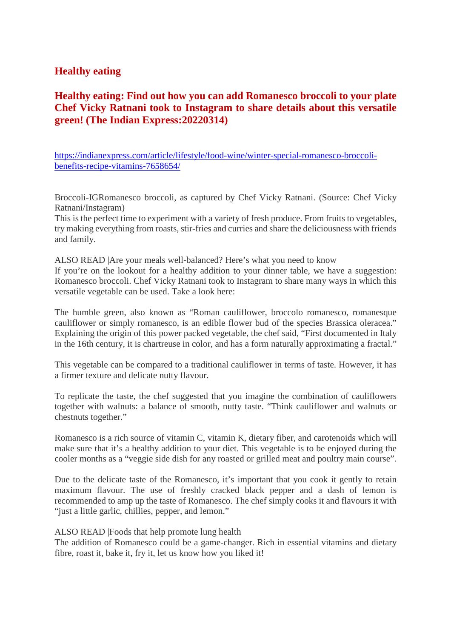# **Healthy eating**

# **Healthy eating: Find out how you can add Romanesco broccoli to your plate Chef Vicky Ratnani took to Instagram to share details about this versatile green! (The Indian Express:20220314)**

https://indianexpress.com/article/lifestyle/food-wine/winter-special-romanesco-broccolibenefits-recipe-vitamins-7658654/

Broccoli-IGRomanesco broccoli, as captured by Chef Vicky Ratnani. (Source: Chef Vicky Ratnani/Instagram)

This is the perfect time to experiment with a variety of fresh produce. From fruits to vegetables, try making everything from roasts, stir-fries and curries and share the deliciousness with friends and family.

ALSO READ |Are your meals well-balanced? Here's what you need to know If you're on the lookout for a healthy addition to your dinner table, we have a suggestion: Romanesco broccoli. Chef Vicky Ratnani took to Instagram to share many ways in which this versatile vegetable can be used. Take a look here:

The humble green, also known as "Roman cauliflower, broccolo romanesco, romanesque cauliflower or simply romanesco, is an edible flower bud of the species Brassica oleracea." Explaining the origin of this power packed vegetable, the chef said, "First documented in Italy in the 16th century, it is chartreuse in color, and has a form naturally approximating a fractal."

This vegetable can be compared to a traditional cauliflower in terms of taste. However, it has a firmer texture and delicate nutty flavour.

To replicate the taste, the chef suggested that you imagine the combination of cauliflowers together with walnuts: a balance of smooth, nutty taste. "Think cauliflower and walnuts or chestnuts together."

Romanesco is a rich source of vitamin C, vitamin K, dietary fiber, and carotenoids which will make sure that it's a healthy addition to your diet. This vegetable is to be enjoyed during the cooler months as a "veggie side dish for any roasted or grilled meat and poultry main course".

Due to the delicate taste of the Romanesco, it's important that you cook it gently to retain maximum flavour. The use of freshly cracked black pepper and a dash of lemon is recommended to amp up the taste of Romanesco. The chef simply cooks it and flavours it with "just a little garlic, chillies, pepper, and lemon."

ALSO READ |Foods that help promote lung health

The addition of Romanesco could be a game-changer. Rich in essential vitamins and dietary fibre, roast it, bake it, fry it, let us know how you liked it!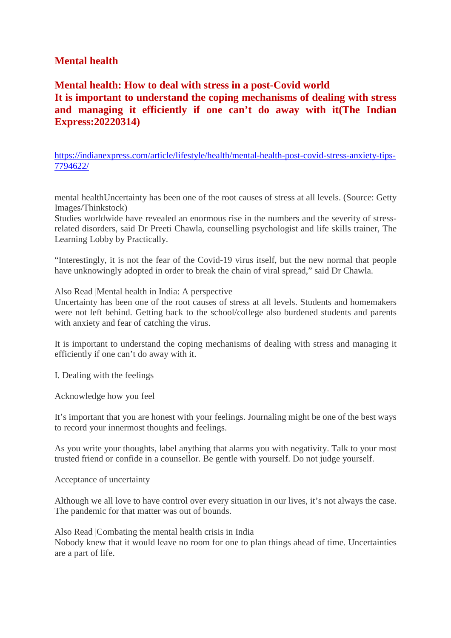# **Mental health**

**Mental health: How to deal with stress in a post-Covid world It is important to understand the coping mechanisms of dealing with stress and managing it efficiently if one can't do away with it(The Indian Express:20220314)**

https://indianexpress.com/article/lifestyle/health/mental-health-post-covid-stress-anxiety-tips-7794622/

mental healthUncertainty has been one of the root causes of stress at all levels. (Source: Getty Images/Thinkstock)

Studies worldwide have revealed an enormous rise in the numbers and the severity of stressrelated disorders, said Dr Preeti Chawla, counselling psychologist and life skills trainer, The Learning Lobby by Practically.

"Interestingly, it is not the fear of the Covid-19 virus itself, but the new normal that people have unknowingly adopted in order to break the chain of viral spread," said Dr Chawla.

Also Read |Mental health in India: A perspective

Uncertainty has been one of the root causes of stress at all levels. Students and homemakers were not left behind. Getting back to the school/college also burdened students and parents with anxiety and fear of catching the virus.

It is important to understand the coping mechanisms of dealing with stress and managing it efficiently if one can't do away with it.

I. Dealing with the feelings

Acknowledge how you feel

It's important that you are honest with your feelings. Journaling might be one of the best ways to record your innermost thoughts and feelings.

As you write your thoughts, label anything that alarms you with negativity. Talk to your most trusted friend or confide in a counsellor. Be gentle with yourself. Do not judge yourself.

Acceptance of uncertainty

Although we all love to have control over every situation in our lives, it's not always the case. The pandemic for that matter was out of bounds.

Also Read |Combating the mental health crisis in India Nobody knew that it would leave no room for one to plan things ahead of time. Uncertainties are a part of life.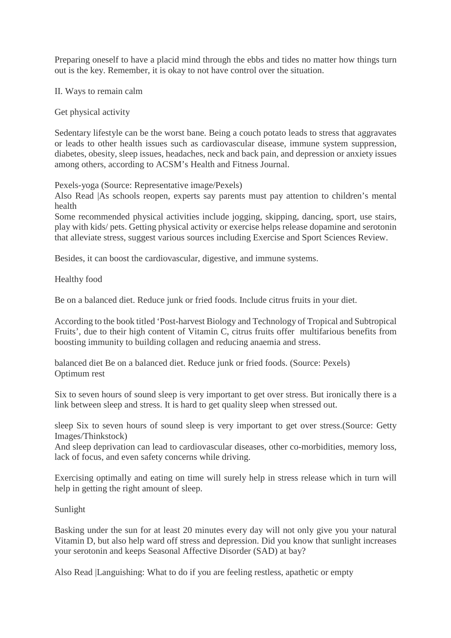Preparing oneself to have a placid mind through the ebbs and tides no matter how things turn out is the key. Remember, it is okay to not have control over the situation.

II. Ways to remain calm

Get physical activity

Sedentary lifestyle can be the worst bane. Being a couch potato leads to stress that aggravates or leads to other health issues such as cardiovascular disease, immune system suppression, diabetes, obesity, sleep issues, headaches, neck and back pain, and depression or anxiety issues among others, according to ACSM's Health and Fitness Journal.

Pexels-yoga (Source: Representative image/Pexels)

Also Read |As schools reopen, experts say parents must pay attention to children's mental health

Some recommended physical activities include jogging, skipping, dancing, sport, use stairs, play with kids/ pets. Getting physical activity or exercise helps release dopamine and serotonin that alleviate stress, suggest various sources including Exercise and Sport Sciences Review.

Besides, it can boost the cardiovascular, digestive, and immune systems.

Healthy food

Be on a balanced diet. Reduce junk or fried foods. Include citrus fruits in your diet.

According to the book titled 'Post-harvest Biology and Technology of Tropical and Subtropical Fruits', due to their high content of Vitamin C, citrus fruits offer multifarious benefits from boosting immunity to building collagen and reducing anaemia and stress.

balanced diet Be on a balanced diet. Reduce junk or fried foods. (Source: Pexels) Optimum rest

Six to seven hours of sound sleep is very important to get over stress. But ironically there is a link between sleep and stress. It is hard to get quality sleep when stressed out.

sleep Six to seven hours of sound sleep is very important to get over stress.(Source: Getty Images/Thinkstock)

And sleep deprivation can lead to cardiovascular diseases, other co-morbidities, memory loss, lack of focus, and even safety concerns while driving.

Exercising optimally and eating on time will surely help in stress release which in turn will help in getting the right amount of sleep.

Sunlight

Basking under the sun for at least 20 minutes every day will not only give you your natural Vitamin D, but also help ward off stress and depression. Did you know that sunlight increases your serotonin and keeps Seasonal Affective Disorder (SAD) at bay?

Also Read |Languishing: What to do if you are feeling restless, apathetic or empty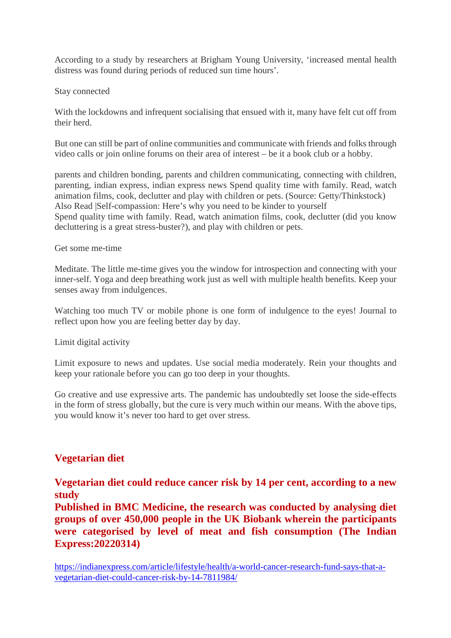According to a study by researchers at Brigham Young University, 'increased mental health distress was found during periods of reduced sun time hours'.

### Stay connected

With the lockdowns and infrequent socialising that ensued with it, many have felt cut off from their herd.

But one can still be part of online communities and communicate with friends and folks through video calls or join online forums on their area of interest – be it a book club or a hobby.

parents and children bonding, parents and children communicating, connecting with children, parenting, indian express, indian express news Spend quality time with family. Read, watch animation films, cook, declutter and play with children or pets. (Source: Getty/Thinkstock) Also Read |Self-compassion: Here's why you need to be kinder to yourself Spend quality time with family. Read, watch animation films, cook, declutter (did you know decluttering is a great stress-buster?), and play with children or pets.

## Get some me-time

Meditate. The little me-time gives you the window for introspection and connecting with your inner-self. Yoga and deep breathing work just as well with multiple health benefits. Keep your senses away from indulgences.

Watching too much TV or mobile phone is one form of indulgence to the eyes! Journal to reflect upon how you are feeling better day by day.

Limit digital activity

Limit exposure to news and updates. Use social media moderately. Rein your thoughts and keep your rationale before you can go too deep in your thoughts.

Go creative and use expressive arts. The pandemic has undoubtedly set loose the side-effects in the form of stress globally, but the cure is very much within our means. With the above tips, you would know it's never too hard to get over stress.

# **Vegetarian diet**

**Vegetarian diet could reduce cancer risk by 14 per cent, according to a new study**

**Published in BMC Medicine, the research was conducted by analysing diet groups of over 450,000 people in the UK Biobank wherein the participants were categorised by level of meat and fish consumption (The Indian Express:20220314)**

https://indianexpress.com/article/lifestyle/health/a-world-cancer-research-fund-says-that-avegetarian-diet-could-cancer-risk-by-14-7811984/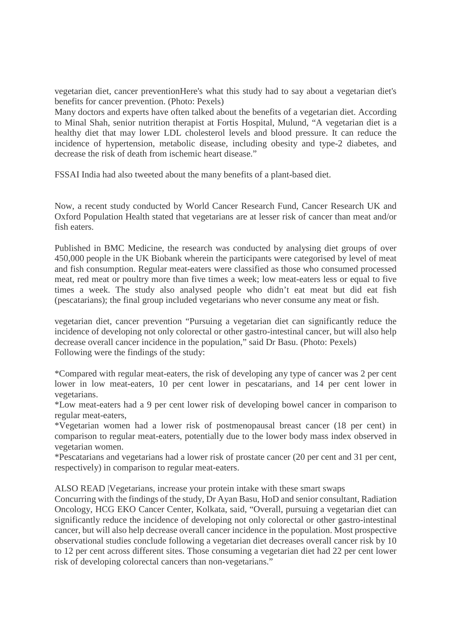vegetarian diet, cancer preventionHere's what this study had to say about a vegetarian diet's benefits for cancer prevention. (Photo: Pexels)

Many doctors and experts have often talked about the benefits of a vegetarian diet. According to Minal Shah, senior nutrition therapist at Fortis Hospital, Mulund, "A vegetarian diet is a healthy diet that may lower LDL cholesterol levels and blood pressure. It can reduce the incidence of hypertension, metabolic disease, including obesity and type-2 diabetes, and decrease the risk of death from ischemic heart disease."

FSSAI India had also tweeted about the many benefits of a plant-based diet.

Now, a recent study conducted by World Cancer Research Fund, Cancer Research UK and Oxford Population Health stated that vegetarians are at lesser risk of cancer than meat and/or fish eaters.

Published in BMC Medicine, the research was conducted by analysing diet groups of over 450,000 people in the UK Biobank wherein the participants were categorised by level of meat and fish consumption. Regular meat-eaters were classified as those who consumed processed meat, red meat or poultry more than five times a week; low meat-eaters less or equal to five times a week. The study also analysed people who didn't eat meat but did eat fish (pescatarians); the final group included vegetarians who never consume any meat or fish.

vegetarian diet, cancer prevention "Pursuing a vegetarian diet can significantly reduce the incidence of developing not only colorectal or other gastro-intestinal cancer, but will also help decrease overall cancer incidence in the population," said Dr Basu. (Photo: Pexels) Following were the findings of the study:

\*Compared with regular meat-eaters, the risk of developing any type of cancer was 2 per cent lower in low meat-eaters, 10 per cent lower in pescatarians, and 14 per cent lower in vegetarians.

\*Low meat-eaters had a 9 per cent lower risk of developing bowel cancer in comparison to regular meat-eaters,

\*Vegetarian women had a lower risk of postmenopausal breast cancer (18 per cent) in comparison to regular meat-eaters, potentially due to the lower body mass index observed in vegetarian women.

\*Pescatarians and vegetarians had a lower risk of prostate cancer (20 per cent and 31 per cent, respectively) in comparison to regular meat-eaters.

ALSO READ |Vegetarians, increase your protein intake with these smart swaps

Concurring with the findings of the study, Dr Ayan Basu, HoD and senior consultant, Radiation Oncology, HCG EKO Cancer Center, Kolkata, said, "Overall, pursuing a vegetarian diet can significantly reduce the incidence of developing not only colorectal or other gastro-intestinal cancer, but will also help decrease overall cancer incidence in the population. Most prospective observational studies conclude following a vegetarian diet decreases overall cancer risk by 10 to 12 per cent across different sites. Those consuming a vegetarian diet had 22 per cent lower risk of developing colorectal cancers than non-vegetarians."